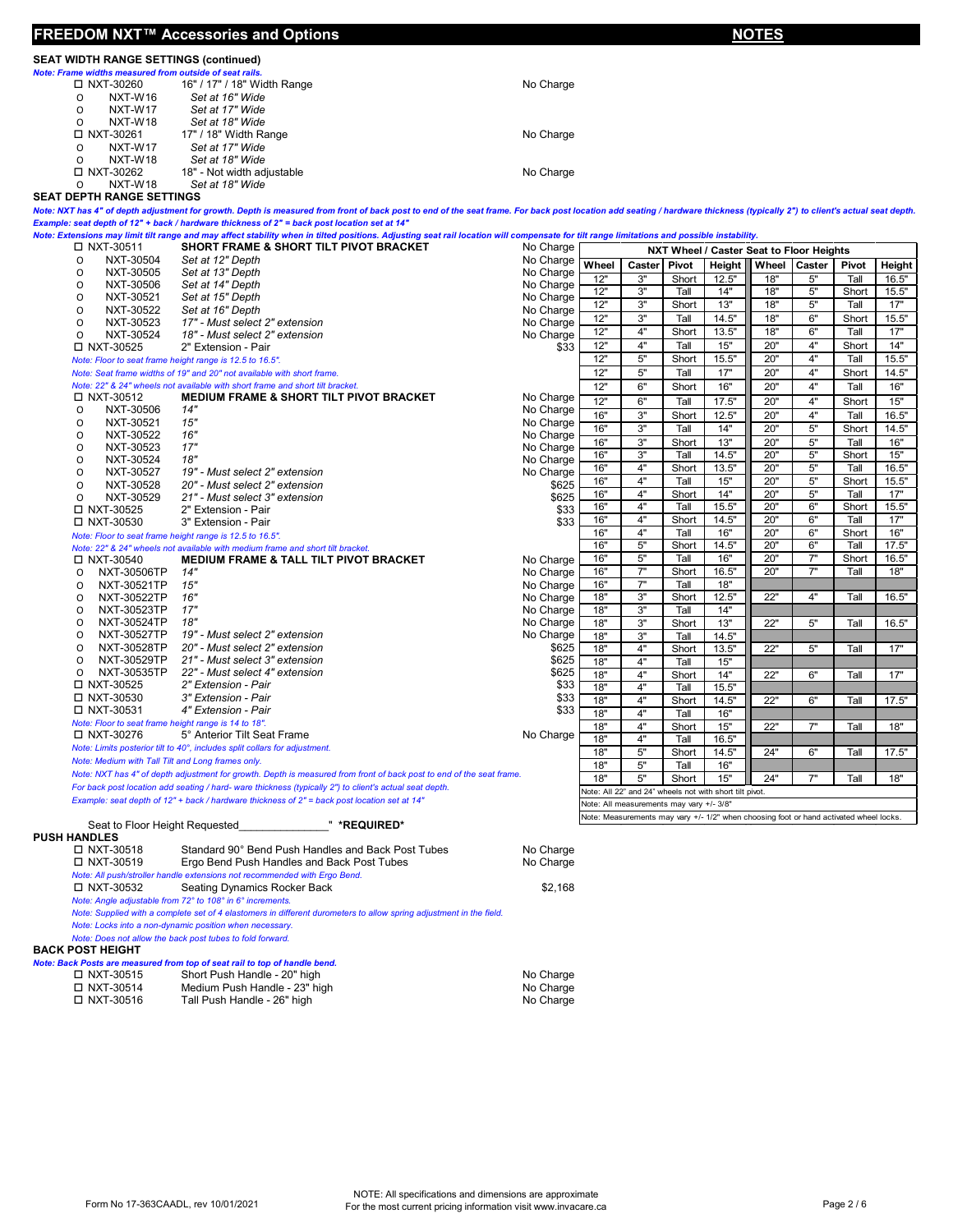|                                                                        | FREEDOM NXT™ Accessories and Options                                                                                                                                                                                                 |                        | <b>NOTES</b> |                                                                                                     |               |                |                                                                                        |          |               |                |
|------------------------------------------------------------------------|--------------------------------------------------------------------------------------------------------------------------------------------------------------------------------------------------------------------------------------|------------------------|--------------|-----------------------------------------------------------------------------------------------------|---------------|----------------|----------------------------------------------------------------------------------------|----------|---------------|----------------|
| <b>SEAT WIDTH RANGE SETTINGS (continued)</b>                           |                                                                                                                                                                                                                                      |                        |              |                                                                                                     |               |                |                                                                                        |          |               |                |
| Note: Frame widths measured from outside of seat rails.<br>□ NXT-30260 | 16" / 17" / 18" Width Range                                                                                                                                                                                                          | No Charge              |              |                                                                                                     |               |                |                                                                                        |          |               |                |
| NXT-W16<br>O                                                           | Set at 16" Wide                                                                                                                                                                                                                      |                        |              |                                                                                                     |               |                |                                                                                        |          |               |                |
| NXT-W17<br>O                                                           | Set at 17" Wide                                                                                                                                                                                                                      |                        |              |                                                                                                     |               |                |                                                                                        |          |               |                |
| NXT-W18<br>O                                                           | Set at 18" Wide                                                                                                                                                                                                                      |                        |              |                                                                                                     |               |                |                                                                                        |          |               |                |
| □ NXT-30261                                                            | 17" / 18" Width Range                                                                                                                                                                                                                | No Charge              |              |                                                                                                     |               |                |                                                                                        |          |               |                |
| NXT-W17<br>O                                                           | Set at 17" Wide                                                                                                                                                                                                                      |                        |              |                                                                                                     |               |                |                                                                                        |          |               |                |
| NXT-W18<br>0<br>□ NXT-30262                                            | Set at 18" Wide<br>18" - Not width adjustable                                                                                                                                                                                        | No Charge              |              |                                                                                                     |               |                |                                                                                        |          |               |                |
| $\Omega$<br>NXT-W18                                                    | Set at 18" Wide                                                                                                                                                                                                                      |                        |              |                                                                                                     |               |                |                                                                                        |          |               |                |
| <b>SEAT DEPTH RANGE SETTINGS</b>                                       |                                                                                                                                                                                                                                      |                        |              |                                                                                                     |               |                |                                                                                        |          |               |                |
|                                                                        | Note: NXT has 4" of depth adjustment for growth. Depth is measured from front of back post to end of the seat frame. For back post location add seating / hardware thickness (typically 2") to client's actual seat depth.           |                        |              |                                                                                                     |               |                |                                                                                        |          |               |                |
|                                                                        | Example: seat depth of 12" + back / hardware thickness of 2" = back post location set at 14"                                                                                                                                         |                        |              |                                                                                                     |               |                |                                                                                        |          |               |                |
| □ NXT-30511                                                            | Note: Extensions may limit tilt range and may affect stability when in tilted positions. Adjusting seat rail location will compensate for tilt range limitations and possible instability.<br>SHORT FRAME & SHORT TILT PIVOT BRACKET | No Charge              |              |                                                                                                     |               |                |                                                                                        |          |               |                |
| NXT-30504<br>O                                                         | Set at 12" Depth                                                                                                                                                                                                                     | No Charge              |              |                                                                                                     |               |                | NXT Wheel / Caster Seat to Floor Heights                                               |          |               |                |
| NXT-30505<br>O                                                         | Set at 13" Depth                                                                                                                                                                                                                     | No Charge              | Wheel<br>12" | Caster<br>3"                                                                                        | Pivot         | Height         | Wheel Caster<br>18"                                                                    | $5"$     | Pivot         | Height         |
| NXT-30506<br>O                                                         | Set at 14" Depth                                                                                                                                                                                                                     | No Charge              | 12"          | 3"                                                                                                  | Short<br>Tall | 12.5"<br>14"   | 18"                                                                                    | 5"       | Tall<br>Short | 16.5"<br>15.5" |
| NXT-30521<br>O                                                         | Set at 15" Depth                                                                                                                                                                                                                     | No Charge              | 12"          | $3"$                                                                                                | Short         | 13"            | 18"                                                                                    | 5"       | Tall          | 17"            |
| NXT-30522<br>O<br>O<br>NXT-30523                                       | Set at 16" Depth<br>17" - Must select 2" extension                                                                                                                                                                                   | No Charge              | 12"          | 3"                                                                                                  | Tall          | 14.5"          | 18"                                                                                    | 6"       | Short         | 15.5"          |
| NXT-30524<br>O                                                         | 18" - Must select 2" extension                                                                                                                                                                                                       | No Charge<br>No Charge | 12"          | 4"                                                                                                  | Short         | 13.5"          | 18"                                                                                    | 6"       | Tall          | 17"            |
| □ NXT-30525                                                            | 2" Extension - Pair                                                                                                                                                                                                                  | \$33                   | 12"          | 4"                                                                                                  | Tall          | 15"            | 20"                                                                                    | 4"       | Short         | 14"            |
|                                                                        | Note: Floor to seat frame height range is 12.5 to 16.5".                                                                                                                                                                             |                        | 12"          | $5"$                                                                                                | Short         | 15.5"          | 20"                                                                                    | 4"       | Tall          | 15.5"          |
|                                                                        | Note: Seat frame widths of 19" and 20" not available with short frame.                                                                                                                                                               |                        | 12"          | $5"$                                                                                                | Tall          | 17"            | 20"                                                                                    | 4"       | Short         | 14.5"          |
|                                                                        | Note: 22" & 24" wheels not available with short frame and short tilt bracket.                                                                                                                                                        |                        | 12"          | 6"                                                                                                  | Short         | 16"            | 20"                                                                                    | 4"       | Tall          | 16"            |
| □ NXT-30512<br>NXT-30506                                               | <b>MEDIUM FRAME &amp; SHORT TILT PIVOT BRACKET</b><br>14"                                                                                                                                                                            | No Charge              | 12"          | 6"                                                                                                  | Tall          | 17.5"          | 20"                                                                                    | 4"       | Short         | 15"            |
| O<br>NXT-30521<br>O                                                    | 15"                                                                                                                                                                                                                                  | No Charge<br>No Charge | 16"          | 3"                                                                                                  | Short         | 12.5"          | 20"                                                                                    | 4"       | Tall          | 16.5"          |
| O<br>NXT-30522                                                         | 16"                                                                                                                                                                                                                                  | No Charge              | 16"          | 3"                                                                                                  | Tall          | 14"            | 20"                                                                                    | 5"       | Short         | 14.5"          |
| NXT-30523<br>O                                                         | 17"                                                                                                                                                                                                                                  | No Charge              | 16"          | 3"                                                                                                  | Short         | 13"            | 20"                                                                                    | 5"       | Tall          | 16"            |
| NXT-30524<br>O                                                         | 18"                                                                                                                                                                                                                                  | No Charge              | 16"<br>16"   | 3"<br>4"                                                                                            | Tall<br>Short | 14.5"<br>13.5" | 20"<br>20"                                                                             | 5"<br>5" | Short<br>Tall | 15"<br>16.5"   |
| O<br>NXT-30527                                                         | 19" - Must select 2" extension                                                                                                                                                                                                       | No Charge              | 16"          | 4"                                                                                                  | Tall          | 15"            | 20"                                                                                    | 5"       | Short         | 15.5"          |
| NXT-30528<br>O<br>NXT-30529                                            | 20" - Must select 2" extension<br>21" - Must select 3" extension                                                                                                                                                                     | \$625<br>\$625         | 16"          | 4"                                                                                                  | Short         | 14"            | 20"                                                                                    | 5"       | Tall          | 17"            |
| O<br>□ NXT-30525                                                       | 2" Extension - Pair                                                                                                                                                                                                                  | \$33                   | 16"          | 4"                                                                                                  | Tall          | 15.5"          | 20"                                                                                    | 6"       | Short         | 15.5"          |
| □ NXT-30530                                                            | 3" Extension - Pair                                                                                                                                                                                                                  | \$33                   | 16"          | 4"                                                                                                  | Short         | 14.5"          | 20"                                                                                    | 6"       | Tall          | 17"            |
|                                                                        | Note: Floor to seat frame height range is 12.5 to 16.5".                                                                                                                                                                             |                        | 16"          | 4"                                                                                                  | Tall          | 16"            | 20"                                                                                    | 6"       | Short         | 16"            |
|                                                                        | Note: 22" & 24" wheels not available with medium frame and short tilt bracket.                                                                                                                                                       |                        | 16"          | 5"                                                                                                  | Short         | 14.5"          | 20"                                                                                    | 6"       | Tall          | 17.5"          |
| □ NXT-30540                                                            | MEDIUM FRAME & TALL TILT PIVOT BRACKET                                                                                                                                                                                               | No Charge              | 16"          | 5"                                                                                                  | Tall          | 16"            | 20"                                                                                    | 7"       | Short         | 16.5"          |
| NXT-30506TP<br>$\circ$<br>NXT-30521TP                                  | 14"<br>15"                                                                                                                                                                                                                           | No Charge              | 16"<br>16"   | 7"<br>7"                                                                                            | Short<br>Tall | 16.5"<br>18"   | 20"                                                                                    | 7"       | Tall          | 18"            |
| O<br>NXT-30522TP<br>O                                                  | 16"                                                                                                                                                                                                                                  | No Charge<br>No Charge | 18"          | 3"                                                                                                  | Short         | 12.5"          | 22"                                                                                    | 4"       | Tall          | 16.5"          |
| NXT-30523TP<br>O                                                       | 17"                                                                                                                                                                                                                                  | No Charge              | 18"          | 3"                                                                                                  | Tall          | 14"            |                                                                                        |          |               |                |
| NXT-30524TP<br>O                                                       | 18"                                                                                                                                                                                                                                  | No Charge              | 18"          | 3"                                                                                                  | Short         | 13"            | 22"                                                                                    | $5"$     | Tall          | 16.5"          |
| NXT-30527TP<br>O                                                       | 19" - Must select 2" extension                                                                                                                                                                                                       | No Charge              | 18"          | 3"                                                                                                  | Tall          | 14.5"          |                                                                                        |          |               |                |
| NXT-30528TP<br>O                                                       | 20" - Must select 2" extension                                                                                                                                                                                                       | \$625                  | 18"          | 4"                                                                                                  | Short         | 13.5"          | 22"                                                                                    | 5"       | Tall          | 17"            |
| NXT-30529TP<br>O<br>NXT-30535TP<br>O                                   | 21" - Must select 3" extension<br>22" - Must select 4" extension                                                                                                                                                                     | \$625<br>\$625         | 18"          | 4"                                                                                                  | Tall          | 15"            |                                                                                        |          |               |                |
| □ NXT-30525                                                            | 2" Extension - Pair                                                                                                                                                                                                                  | \$33                   | 18"          | 4"                                                                                                  | Short         | 14"            | 22"                                                                                    | 6"       | Tall          | 17"            |
| □ NXT-30530                                                            | 3" Extension - Pair                                                                                                                                                                                                                  | \$33                   | 18"<br>18"   | 4"<br>4"                                                                                            | Tall<br>Short | 15.5"<br>14.5" | 22"                                                                                    | 6"       | Tall          | 17.5"          |
| □ NXT-30531                                                            | 4" Extension - Pair                                                                                                                                                                                                                  | \$33                   | 18"          | 4"                                                                                                  | Tall          | 16"            |                                                                                        |          |               |                |
| Note: Floor to seat frame height range is 14 to 18".                   |                                                                                                                                                                                                                                      |                        | 18"          | 4"                                                                                                  | Short         | 15"            | 22"                                                                                    | 7"       | Tall          | 18"            |
| □ NXT-30276                                                            | 5° Anterior Tilt Seat Frame                                                                                                                                                                                                          | No Charge              | 18"          | 4"                                                                                                  | Tall          | 16.5"          |                                                                                        |          |               |                |
|                                                                        | Note: Limits posterior tilt to 40°, includes split collars for adjustment.                                                                                                                                                           |                        | 18"          | 5"                                                                                                  | Short         | 14.5"          | 24"                                                                                    | 6"       | Tall          | 17.5"          |
| Note: Medium with Tall Tilt and Long frames only.                      | Note: NXT has 4" of depth adjustment for growth. Depth is measured from front of back post to end of the seat frame.                                                                                                                 |                        | 18"          | $5"$                                                                                                | Tall          | 16"            |                                                                                        |          |               |                |
|                                                                        | For back post location add seating / hard- ware thickness (typically 2") to client's actual seat depth.                                                                                                                              |                        | 18"          | 5"                                                                                                  | Short         | 15"            | 24"                                                                                    | 7"       | Tall          | 18"            |
|                                                                        | Example: seat depth of 12" + back / hardware thickness of 2" = back post location set at 14"                                                                                                                                         |                        |              | Note: All 22" and 24" wheels not with short tilt pivot.<br>Note: All measurements may vary +/- 3/8" |               |                |                                                                                        |          |               |                |
|                                                                        |                                                                                                                                                                                                                                      |                        |              |                                                                                                     |               |                | Note: Measurements may vary +/- 1/2" when choosing foot or hand activated wheel locks. |          |               |                |
| Seat to Floor Height Requested                                         | " *REQUIRED*                                                                                                                                                                                                                         |                        |              |                                                                                                     |               |                |                                                                                        |          |               |                |
| <b>PUSH HANDLES</b><br>□ NXT-30518<br>□ NXT-30519                      | Standard 90° Bend Push Handles and Back Post Tubes<br>Ergo Bend Push Handles and Back Post Tubes                                                                                                                                     | No Charge<br>No Charge |              |                                                                                                     |               |                |                                                                                        |          |               |                |
|                                                                        | Note: All push/stroller handle extensions not recommended with Ergo Bend.                                                                                                                                                            |                        |              |                                                                                                     |               |                |                                                                                        |          |               |                |
| □ NXT-30532                                                            | Seating Dynamics Rocker Back                                                                                                                                                                                                         | \$2,168                |              |                                                                                                     |               |                |                                                                                        |          |               |                |
|                                                                        | Note: Angle adjustable from 72° to 108° in 6° increments.                                                                                                                                                                            |                        |              |                                                                                                     |               |                |                                                                                        |          |               |                |
|                                                                        | Note: Supplied with a complete set of 4 elastomers in different durometers to allow spring adjustment in the field.                                                                                                                  |                        |              |                                                                                                     |               |                |                                                                                        |          |               |                |
|                                                                        | Note: Locks into a non-dynamic position when necessary.<br>Note: Does not allow the back post tubes to fold forward.                                                                                                                 |                        |              |                                                                                                     |               |                |                                                                                        |          |               |                |
| <b>BACK POST HEIGHT</b>                                                |                                                                                                                                                                                                                                      |                        |              |                                                                                                     |               |                |                                                                                        |          |               |                |
|                                                                        | Note: Back Posts are measured from top of seat rail to top of handle bend.                                                                                                                                                           |                        |              |                                                                                                     |               |                |                                                                                        |          |               |                |
| □ NXT-30515                                                            | Short Push Handle - 20" high                                                                                                                                                                                                         | No Charge              |              |                                                                                                     |               |                |                                                                                        |          |               |                |
| □ NXT-30514                                                            | Medium Push Handle - 23" high                                                                                                                                                                                                        | No Charge              |              |                                                                                                     |               |                |                                                                                        |          |               |                |
| □ NXT-30516                                                            | Tall Push Handle - 26" high                                                                                                                                                                                                          | No Charge              |              |                                                                                                     |               |                |                                                                                        |          |               |                |



## 6HOHEWWWRUHOREDWLR\$\$/11XPEHUV **B**DODU\$\$/II (GPRQWRQ\$\$'/ mUDGH3UDLULH\$\$/m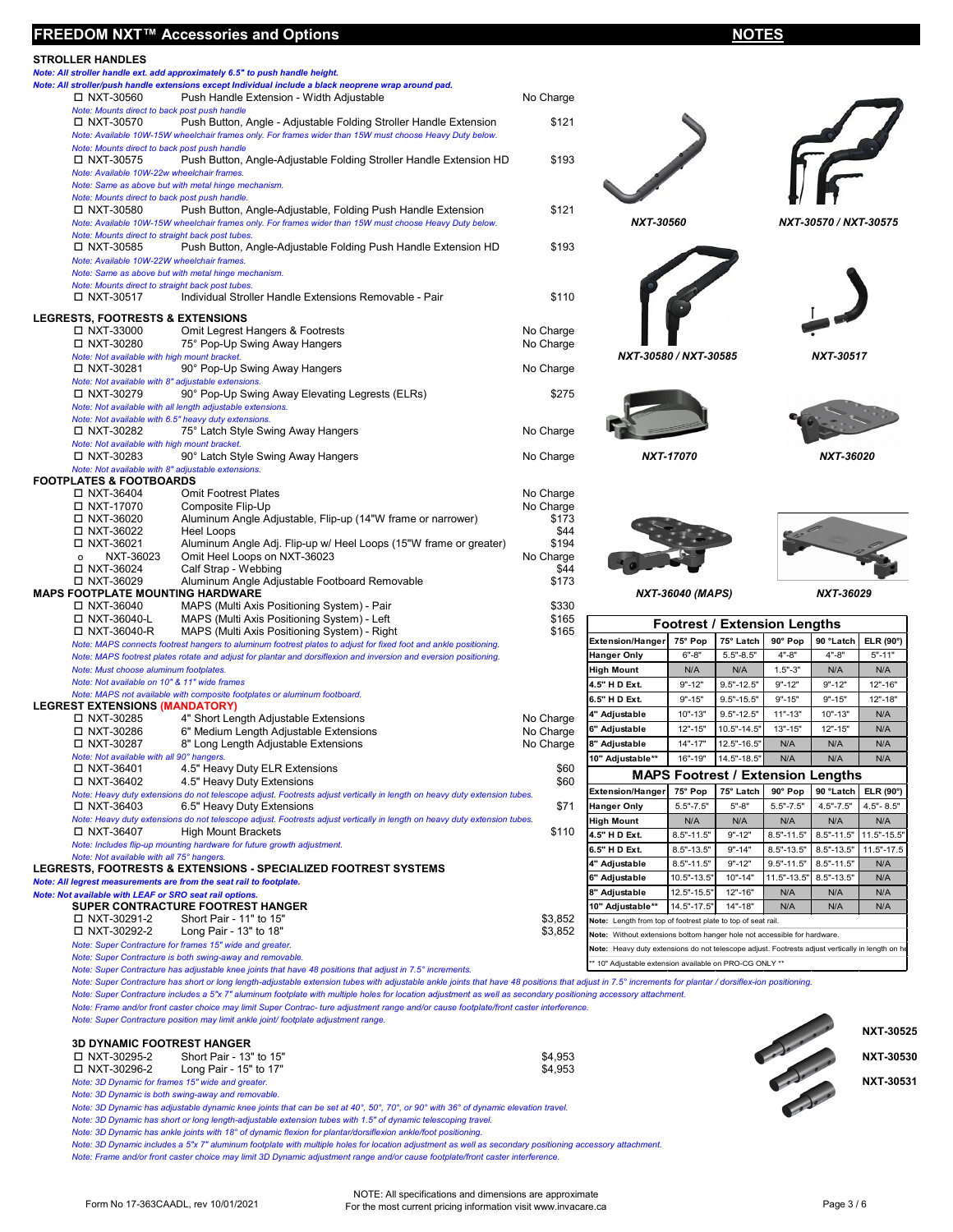| FREEDOM NXT™ Accessories and Options                                                                                                                                                                                                  |                    |                                   |                                | <b>NOTES</b>                             |                |                       |               |
|---------------------------------------------------------------------------------------------------------------------------------------------------------------------------------------------------------------------------------------|--------------------|-----------------------------------|--------------------------------|------------------------------------------|----------------|-----------------------|---------------|
| <b>STROLLER HANDLES</b>                                                                                                                                                                                                               |                    |                                   |                                |                                          |                |                       |               |
| Note: All stroller handle ext. add approximately 6.5" to push handle height.                                                                                                                                                          |                    |                                   |                                |                                          |                |                       |               |
| Note: All stroller/push handle extensions except Individual include a black neoprene wrap around pad.<br>Push Handle Extension - Width Adjustable<br>□ NXT-30560                                                                      | No Charge          |                                   |                                |                                          |                |                       |               |
| Note: Mounts direct to back post push handle                                                                                                                                                                                          |                    |                                   |                                |                                          |                |                       |               |
| Push Button, Angle - Adjustable Folding Stroller Handle Extension<br>□ NXT-30570                                                                                                                                                      | \$121              |                                   |                                |                                          |                |                       |               |
| Note: Available 10W-15W wheelchair frames only. For frames wider than 15W must choose Heavy Duty below.                                                                                                                               |                    |                                   |                                |                                          |                |                       |               |
| Note: Mounts direct to back post push handle<br>□ NXT-30575<br>Push Button, Angle-Adjustable Folding Stroller Handle Extension HD                                                                                                     | \$193              |                                   |                                |                                          |                |                       |               |
| Note: Available 10W-22w wheelchair frames.                                                                                                                                                                                            |                    |                                   |                                |                                          |                |                       |               |
| Note: Same as above but with metal hinge mechanism.                                                                                                                                                                                   |                    |                                   |                                |                                          |                |                       |               |
| Note: Mounts direct to back post push handle.                                                                                                                                                                                         |                    |                                   |                                |                                          |                |                       |               |
| Push Button, Angle-Adjustable, Folding Push Handle Extension<br>□ NXT-30580<br>Note: Available 10W-15W wheelchair frames only. For frames wider than 15W must choose Heavy Duty below.                                                | \$121              | NXT-30560                         |                                |                                          |                | NXT-30570 / NXT-30575 |               |
| Note: Mounts direct to straight back post tubes.                                                                                                                                                                                      |                    |                                   |                                |                                          |                |                       |               |
| Push Button, Angle-Adjustable Folding Push Handle Extension HD<br>□ NXT-30585                                                                                                                                                         | \$193              |                                   |                                |                                          |                |                       |               |
| Note: Available 10W-22W wheelchair frames.                                                                                                                                                                                            |                    |                                   |                                |                                          |                |                       |               |
| Note: Same as above but with metal hinge mechanism.<br>Note: Mounts direct to straight back post tubes.                                                                                                                               |                    |                                   |                                |                                          |                |                       |               |
| □ NXT-30517<br>Individual Stroller Handle Extensions Removable - Pair                                                                                                                                                                 | \$110              |                                   |                                |                                          |                |                       |               |
| <b>LEGRESTS, FOOTRESTS &amp; EXTENSIONS</b>                                                                                                                                                                                           |                    |                                   |                                |                                          |                |                       |               |
| □ NXT-33000<br>Omit Legrest Hangers & Footrests                                                                                                                                                                                       | No Charge          |                                   |                                |                                          |                |                       |               |
| 75° Pop-Up Swing Away Hangers<br>□ NXT-30280                                                                                                                                                                                          | No Charge          |                                   |                                |                                          |                |                       |               |
| Note: Not available with high mount bracket.                                                                                                                                                                                          |                    | NXT-30580 / NXT-30585             |                                |                                          |                | NXT-30517             |               |
| 90° Pop-Up Swing Away Hangers<br>□ NXT-30281                                                                                                                                                                                          | No Charge          |                                   |                                |                                          |                |                       |               |
| Note: Not available with 8" adjustable extensions.<br>□ NXT-30279<br>90° Pop-Up Swing Away Elevating Legrests (ELRs)                                                                                                                  | \$275              |                                   |                                |                                          |                |                       |               |
| Note: Not available with all length adjustable extensions.                                                                                                                                                                            |                    |                                   |                                |                                          |                |                       |               |
| Note: Not available with 6.5" heavy duty extensions.                                                                                                                                                                                  |                    |                                   |                                |                                          |                |                       |               |
| □ NXT-30282<br>75° Latch Style Swing Away Hangers                                                                                                                                                                                     | No Charge          |                                   |                                |                                          |                |                       |               |
| Note: Not available with high mount bracket.<br>□ NXT-30283<br>90° Latch Style Swing Away Hangers                                                                                                                                     | No Charge          |                                   | NXT-17070                      |                                          |                | NXT-36020             |               |
| Note: Not available with 8" adjustable extensions.                                                                                                                                                                                    |                    |                                   |                                |                                          |                |                       |               |
| <b>FOOTPLATES &amp; FOOTBOARDS</b>                                                                                                                                                                                                    |                    |                                   |                                |                                          |                |                       |               |
| □ NXT-36404<br><b>Omit Footrest Plates</b>                                                                                                                                                                                            | No Charge          |                                   |                                |                                          |                |                       |               |
| □ NXT-17070<br>Composite Flip-Up<br>Aluminum Angle Adjustable, Flip-up (14"W frame or narrower)<br>□ NXT-36020                                                                                                                        | No Charge<br>\$173 |                                   |                                |                                          |                |                       |               |
| □ NXT-36022<br>Heel Loops                                                                                                                                                                                                             | \$44               |                                   |                                |                                          |                |                       |               |
| □ NXT-36021<br>Aluminum Angle Adj. Flip-up w/ Heel Loops (15"W frame or greater)                                                                                                                                                      | \$194              |                                   |                                |                                          |                |                       |               |
| NXT-36023<br>Omit Heel Loops on NXT-36023<br>$\mathsf{o}\xspace$                                                                                                                                                                      | No Charge          |                                   |                                |                                          |                |                       |               |
| □ NXT-36024<br>Calf Strap - Webbing<br>□ NXT-36029<br>Aluminum Angle Adjustable Footboard Removable                                                                                                                                   | \$44<br>\$173      |                                   |                                |                                          |                |                       |               |
| <b>MAPS FOOTPLATE MOUNTING HARDWARE</b>                                                                                                                                                                                               |                    |                                   | <b>NXT-36040 (MAPS)</b>        |                                          |                | NXT-36029             |               |
| □ NXT-36040<br>MAPS (Multi Axis Positioning System) - Pair                                                                                                                                                                            | \$330              |                                   |                                |                                          |                |                       |               |
| □ NXT-36040-L<br>MAPS (Multi Axis Positioning System) - Left                                                                                                                                                                          | \$165              |                                   |                                | <b>Footrest / Extension Lengths</b>      |                |                       |               |
| □ NXT-36040-R<br>MAPS (Multi Axis Positioning System) - Right                                                                                                                                                                         | \$165              | <b>Extension/Hanger</b>           | 75° Pop                        | 75° Latch                                | 90° Pop        | 90 °Latch             | ELR (90°      |
| Note: MAPS connects footrest hangers to aluminum footrest plates to adjust for fixed foot and ankle positioning.<br>Note: MAPS footrest plates rotate and adjust for plantar and dorsiflexion and inversion and eversion positioning. |                    | <b>Hanger Only</b>                | $6 - 8$                        | $5.5" - 8.5"$                            | $4 - 8$        | $4 - 8$               | $5" - 11"$    |
| Note: Must choose aluminum footplates.                                                                                                                                                                                                |                    | <b>High Mount</b>                 | N/A                            | N/A                                      | $1.5" - 3"$    | N/A                   | N/A           |
| Note: Not available on 10" & 11" wide frames                                                                                                                                                                                          |                    | 4.5" H D Ext.                     | $9" - 12"$                     | $9.5 - 12.5$                             | $9" - 12"$     | $9" - 12"$            | 12"-16"       |
| Note: MAPS not available with composite footplates or aluminum footboard.                                                                                                                                                             |                    | 6.5" H D Ext.                     | $9" - 15"$                     | $9.5" - 15.5"$                           | $9" - 15"$     | $9" - 15"$            | $12" - 18"$   |
| <b>LEGREST EXTENSIONS (MANDATORY)</b><br>□ NXT-30285<br>4" Short Length Adjustable Extensions                                                                                                                                         | No Charge          | 4" Adjustable                     | $10" - 13"$                    | $9.5" - 12.5"$                           | $11" - 13"$    | $10" - 13"$           | N/A           |
| □ NXT-30286<br>6" Medium Length Adjustable Extensions                                                                                                                                                                                 | No Charge          | 6" Adjustable                     | $12" - 15'$                    | $10.5" - 14.5"$                          | $13" - 15'$    | $12" - 15'$           | N/A           |
| □ NXT-30287<br>8" Long Length Adjustable Extensions                                                                                                                                                                                   | No Charge          | 8" Adjustable                     | $14" - 17"$                    | 12.5"-16.5"                              | N/A            | N/A                   | N/A           |
| Note: Not available with all 90° hangers.                                                                                                                                                                                             |                    | 10" Adjustable**                  | 16"-19"                        | $14.5" - 18.5"$                          | N/A            | N/A                   | N/A           |
| □ NXT-36401<br>4.5" Heavy Duty ELR Extensions<br>□ NXT-36402<br>4.5" Heavy Duty Extensions                                                                                                                                            | \$60<br>\$60       |                                   |                                | <b>MAPS Footrest / Extension Lengths</b> |                |                       |               |
| Note: Heavy duty extensions do not telescope adjust. Footrests adjust vertically in length on heavy duty extension tubes.                                                                                                             |                    | <b>Extension/Hanger</b>           | 75° Pop                        | 75° Latch                                | 90° Pop        | 90 °Latch             | ELR (90°      |
| □ NXT-36403<br>6.5" Heavy Duty Extensions                                                                                                                                                                                             | \$71               | <b>Hanger Only</b>                | $5.5 - 7.5$                    | $5 - 8$                                  | $5.5" - 7.5"$  | $4.5" - 7.5"$         | $4.5 - 8.5$   |
| Note: Heavy duty extensions do not telescope adjust. Footrests adjust vertically in length on heavy duty extension tubes.                                                                                                             |                    | High Mount                        | N/A                            | N/A                                      | N/A            | N/A                   | N/A           |
| □ NXT-36407<br><b>High Mount Brackets</b><br>Note: Includes flip-up mounting hardware for future growth adjustment.                                                                                                                   | \$110              | 4.5" H D Ext.                     | $8.5" - 11.5"$                 | $9" - 12"$                               | $8.5" - 11.5"$ | $8.5" - 11.5"$        | $11.5" - 15.$ |
| Note: Not available with all 75° hangers.                                                                                                                                                                                             |                    | 6.5" H D Ext.                     | $8.5" - 13.5"$                 | $9" - 14"$                               | $8.5 - 13.5$   | $8.5" - 13.5"$        | $11.5" - 17.$ |
| LEGRESTS, FOOTRESTS & EXTENSIONS - SPECIALIZED FOOTREST SYSTEMS                                                                                                                                                                       |                    | 4" Adjustable                     | $8.5" - 11.5"$                 | $9" - 12"$                               | $9.5 - 11.5$   | $8.5" - 11.5"$        | N/A           |
| Note: All legrest measurements are from the seat rail to footplate.                                                                                                                                                                   |                    | 6" Adjustable                     | 10.5"-13.5"                    | $10" - 14"$                              | 11.5"-13.5"    | $8.5" - 13.5'$        | N/A           |
| Note: Not available with LEAF or SRO seat rail options.<br>SUPER CONTRACTURE FOOTREST HANGER                                                                                                                                          |                    | 8" Adjustable<br>10" Adjustable** | 12.5"-15.5"<br>$14.5" - 17.5"$ | 12"-16"<br>14"-18"                       | N/A<br>N/A     | N/A<br>N/A            | N/A<br>N/A    |
|                                                                                                                                                                                                                                       |                    |                                   |                                |                                          |                |                       |               |

| NXT-30560             | $\sqrt{6}$<br>NXT-30570/ |
|-----------------------|--------------------------|
| NXT-30580 / NXT-30585 | $NXT-3$                  |
| NXT-17070             | <b>NXT</b>               |
| NXT-36040 (MAPS)      | NXT-                     |
| e.<br>$\overline{ }$  | ÷<br>×.                  |



| <b>Footrest / Extension Lengths</b>                                                              |                                                                          |                |                                          |                |                 |  |
|--------------------------------------------------------------------------------------------------|--------------------------------------------------------------------------|----------------|------------------------------------------|----------------|-----------------|--|
| <b>Extension/Hanger</b>                                                                          | 75° Pop                                                                  | 75° Latch      | 90° Pop                                  | 90 °Latch      | ELR (90°)       |  |
| <b>Hanger Only</b>                                                                               | $6 - 8$                                                                  | $5.5 - 8.5$    | $4" - 8"$                                | $4" - 8"$      | $5" - 11"$      |  |
| <b>High Mount</b>                                                                                | N/A                                                                      | N/A            | $1.5" - 3"$                              | N/A            | N/A             |  |
| 4.5" H D Ext.                                                                                    | $9" - 12"$                                                               | $9.5" - 12.5"$ | $9" - 12"$                               | $9" - 12"$     | 12"-16"         |  |
| 6.5" H D Ext.                                                                                    | $9" - 15"$                                                               | $9.5" - 15.5"$ | $9" - 15"$                               | $9" - 15"$     | 12"-18"         |  |
| 4" Adjustable                                                                                    | $10" - 13"$                                                              | $9.5" - 12.5"$ | $11" - 13"$                              | $10" - 13"$    | N/A             |  |
| 6" Adjustable                                                                                    | $12" - 15"$                                                              | 10.5"-14.5"    | $13" - 15"$                              | $12" - 15"$    | N/A             |  |
| 8" Adjustable                                                                                    | $14" - 17"$                                                              | 12.5"-16.5"    | N/A                                      | N/A            | N/A             |  |
| 10" Adjustable**                                                                                 | 16"-19"                                                                  | 14.5"-18.5"    | N/A                                      | N/A            | N/A             |  |
|                                                                                                  |                                                                          |                | <b>MAPS Footrest / Extension Lengths</b> |                |                 |  |
| <b>Extension/Hanger</b>                                                                          | 75° Pop                                                                  | 75° Latch      | 90° Pop                                  | 90 ºl atch     | ELR (90°)       |  |
| <b>Hanger Only</b>                                                                               | $5.5" - 7.5"$                                                            | $5" - 8"$      | $5.5" - 7.5"$                            | $4.5" - 7.5"$  | $4.5" - 8.5"$   |  |
| <b>High Mount</b>                                                                                | N/A                                                                      | N/A            | N/A                                      | N/A            | N/A             |  |
| 4.5" H D Ext.                                                                                    | $8.5" - 11.5"$                                                           | $9" - 12"$     | $8.5" - 11.5"$                           | $8.5" - 11.5"$ | $11.5" - 15.5"$ |  |
| 6.5" H D Ext.                                                                                    | $8.5" - 13.5"$                                                           | $9" - 14"$     | $8.5" - 13.5"$                           | $8.5" - 13.5"$ | $11.5" - 17.5$  |  |
| 4" Adjustable                                                                                    | $8.5" - 11.5"$                                                           | $9" - 12"$     | $9.5" - 11.5"$                           | $8.5" - 11.5"$ | N/A             |  |
| 6" Adjustable                                                                                    | 10.5"-13.5"                                                              | $10" - 14"$    | 11.5"-13.5"                              | $8.5" - 13.5"$ | N/A             |  |
| 8" Adjustable                                                                                    | 12.5"-15.5"                                                              | 12"-16"        | N/A                                      | N/A            | N/A             |  |
| 10" Adjustable**                                                                                 | 14.5"-17.5"                                                              | $14" - 18"$    | N/A                                      | N/A            | N/A             |  |
| Note: Length from top of footrest plate to top of seat rail.                                     |                                                                          |                |                                          |                |                 |  |
|                                                                                                  | Note: Without extensions bottom hanger hole not accessible for hardware. |                |                                          |                |                 |  |
| Note: Heavy duty extensions do not telescope adjust. Footrests adjust vertically in length on he |                                                                          |                |                                          |                |                 |  |
| ** 10" Adjustable extension available on PRO-CG ONLY **                                          |                                                                          |                |                                          |                |                 |  |

*Note: Super Contracture is both swing-away and removable. Note: Super Contracture has adjustable knee joints that have 48 positions that adjust in 7.5° increments.*

*Note: Super Contracture has short or long length-adjustable extension tubes with adjustable ankle joints that have 48 positions that adjust in 7.5° increments for plantar / dorsiflex-ion positioning.*

*Note: Super Contracture includes a 5"x 7" aluminum footplate with multiple holes for location adjustment as well as secondary positioning accessory attachment.*

*Note: Frame and/or front caster choice may limit Super Contrac- ture adjustment range and/or cause footplate/front caster interference.*

NXT-30291-2 Short Pair - 11" to 15" \$3,852

*Note: Super Contracture position may limit ankle joint/ footplate adjustment range.*

Long Pair - 13" to 18"

**3D DYNAMIC FOOTREST HANGER**

| □ NXT-30295-2                                     | Short Pair - 13" to 15" | \$4,953 | <u>the contract of the contract of the contract of the contract of the contract of the contract of the contract of the contract of the contract of the contract of the contract of the contract of the contract of the contract </u> | <b>NXT</b><br>T-30530 |
|---------------------------------------------------|-------------------------|---------|--------------------------------------------------------------------------------------------------------------------------------------------------------------------------------------------------------------------------------------|-----------------------|
| □ NXT-30296-2                                     | Long Pair - 15" to 17"  | \$4,953 | $\rightarrow$                                                                                                                                                                                                                        |                       |
| Note: 3D Dynamic for frames 15" wide and greater. |                         |         |                                                                                                                                                                                                                                      | T-30531<br>NXT        |

*Note: 3D Dynamic is both swing-away and removable.*

*Note: Super Contracture for frames 15" wide and greater.*

*Note: 3D Dynamic has adjustable dynamic knee joints that can be set at 40°, 50°, 70°, or 90° with 36° of dynamic elevation travel.*

*Note: 3D Dynamic has short or long length-adjustable extension tubes with 1.5" of dynamic telescoping travel.*

*Note: 3D Dynamic has ankle joints with 18° of dynamic flexion for plantar/dorsiflexion ankle/foot positioning.*

*Note: 3D Dynamic includes a 5"x 7" aluminum footplate with multiple holes for location adjustment as well as secondary positioning accessory attachment. Note: Frame and/or front caster choice may limit 3D Dynamic adjustment range and/or cause footplate/front caster interference.*



Form No 17-363CAADL, rev 10/01/2021 NOTE: All specifications and dimensions are approximate<br>For the most current pricing information visit www.invacare.ca Page 3 / 6

- **Select store location AADL Numbers**
	- **☐ Calgary AADL 00000 78000 003**
	- **☐ Edmonton AADL 00000 78000 001**
	- **☐ Grande Prairie AADL 0000 665538 001**

**NXT-30525**

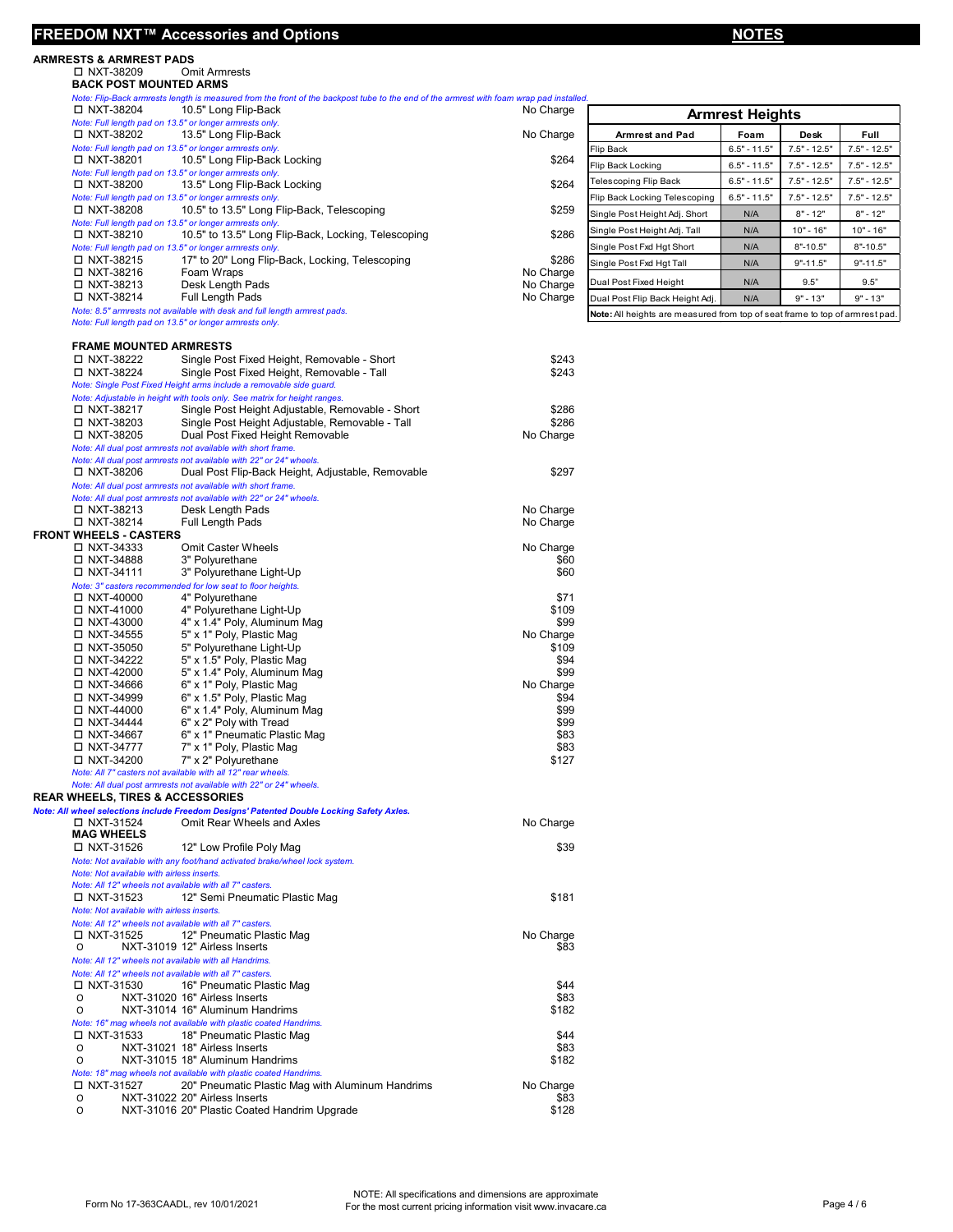## **FREEDOM NXT™ Accessories and Options NOTES**

# **ARMRESTS & ARMREST PADS**

NXT-38209 Omit Armrests

| <b>BACK POST MOUNTED ARMS</b> |                                                         |                                                                                                                                         |
|-------------------------------|---------------------------------------------------------|-----------------------------------------------------------------------------------------------------------------------------------------|
|                               |                                                         | Note: Flip-Back armrests length is measured from the front of the backpost tube to the end of the armrest with foam wrap pad installed. |
| $\Box$ NXT-38204              | 10.5" Long Flip-Back                                    | No Charge                                                                                                                               |
|                               | Note: Full length pad on 13.5" or longer armrests only. |                                                                                                                                         |
| $\Box$ NXT-38202              | 13.5" Long Flip-Back                                    | No Charge                                                                                                                               |

| □ NXT-38204 | 10.5" Long Flip-Back                                                                                                                 | No Charge | <b>Armrest Heights</b>                                                       |                |                |                |
|-------------|--------------------------------------------------------------------------------------------------------------------------------------|-----------|------------------------------------------------------------------------------|----------------|----------------|----------------|
|             | Note: Full length pad on 13.5" or longer armrests only.                                                                              |           |                                                                              |                |                |                |
| □ NXT-38202 | 13.5" Long Flip-Back                                                                                                                 | No Charge | <b>Armrest and Pad</b>                                                       | Foam           | Desk           | <b>Full</b>    |
|             | Note: Full length pad on 13.5" or longer armrests only.                                                                              |           | Flip Back                                                                    | $6.5" - 11.5"$ | $7.5" - 12.5"$ | $7.5" - 12.5"$ |
| □ NXT-38201 | 10.5" Long Flip-Back Locking                                                                                                         | \$264     | Flip Back Locking                                                            | $6.5" - 11.5"$ | $7.5" - 12.5"$ | $7.5" - 12.5"$ |
|             | Note: Full length pad on 13.5" or longer armrests only.                                                                              |           |                                                                              |                |                |                |
| □ NXT-38200 | 13.5" Long Flip-Back Locking                                                                                                         | \$264     | <b>Telescoping Flip Back</b>                                                 | $6.5" - 11.5"$ | $7.5" - 12.5"$ | $7.5" - 12.5"$ |
|             | Note: Full length pad on 13.5" or longer armrests only.                                                                              |           | Flip Back Locking Telescoping                                                | $6.5" - 11.5"$ | $7.5" - 12.5"$ | $7.5" - 12.5"$ |
| □ NXT-38208 | 10.5" to 13.5" Long Flip-Back, Telescoping                                                                                           | \$259     | Single Post Height Adj. Short                                                | N/A            | $8" - 12"$     | $8" - 12"$     |
|             | Note: Full length pad on 13.5" or longer armrests only.                                                                              |           |                                                                              |                |                |                |
| □ NXT-38210 | 10.5" to 13.5" Long Flip-Back, Locking, Telescoping                                                                                  | \$286     | Single Post Height Adj. Tall                                                 | N/A            | $10" - 16"$    | $10" - 16"$    |
|             | Note: Full length pad on 13.5" or longer armrests only.                                                                              |           | Single Post Fxd Hat Short                                                    | N/A            | $8" - 10.5"$   | $8" - 10.5"$   |
| □ NXT-38215 | 17" to 20" Long Flip-Back, Locking, Telescoping                                                                                      | \$286     | Single Post Fxd Hat Tall                                                     | N/A            | $9" - 11.5"$   | $9" - 11.5"$   |
| □ NXT-38216 | Foam Wraps                                                                                                                           | No Charge |                                                                              |                |                |                |
| □ NXT-38213 | Desk Length Pads                                                                                                                     | No Charge | Dual Post Fixed Height                                                       | N/A            | 9.5"           | 9.5"           |
| □ NXT-38214 | Full Length Pads                                                                                                                     | No Charge | Dual Post Flip Back Height Adj.                                              | N/A            | $9" - 13"$     | $9" - 13"$     |
|             | Note: 8.5" armrests not available with desk and full length armrest pads.<br>Note: Full length pad on 13.5" or longer armrests only. |           | Note: All heights are measured from top of seat frame to top of armrest pad. |                |                |                |
|             |                                                                                                                                      |           |                                                                              |                |                |                |

## **FRAME MOUNTED ARMRESTS**

| □ NXT-38222                                             | Single Post Fixed Height, Removable - Short                                               | \$243     |
|---------------------------------------------------------|-------------------------------------------------------------------------------------------|-----------|
| □ NXT-38224                                             | Single Post Fixed Height, Removable - Tall                                                | \$243     |
|                                                         | Note: Single Post Fixed Height arms include a removable side guard.                       |           |
|                                                         | Note: Adjustable in height with tools only. See matrix for height ranges.                 |           |
| □ NXT-38217                                             | Single Post Height Adjustable, Removable - Short                                          | \$286     |
| □ NXT-38203                                             | Single Post Height Adjustable, Removable - Tall                                           | \$286     |
| □ NXT-38205                                             | Dual Post Fixed Height Removable                                                          | No Charge |
|                                                         | Note: All dual post armrests not available with short frame.                              |           |
|                                                         | Note: All dual post armrests not available with 22" or 24" wheels.                        |           |
| □ NXT-38206                                             | Dual Post Flip-Back Height, Adjustable, Removable                                         | \$297     |
|                                                         | Note: All dual post armrests not available with short frame.                              |           |
| □ NXT-38213                                             | Note: All dual post armrests not available with 22" or 24" wheels.<br>Desk Length Pads    | No Charge |
| □ NXT-38214                                             | Full Length Pads                                                                          | No Charge |
| <b>FRONT WHEELS - CASTERS</b>                           |                                                                                           |           |
| □ NXT-34333                                             | <b>Omit Caster Wheels</b>                                                                 | No Charge |
| □ NXT-34888                                             | 3" Polyurethane                                                                           | \$60      |
| □ NXT-34111                                             | 3" Polyurethane Light-Up                                                                  | \$60      |
|                                                         | Note: 3" casters recommended for low seat to floor heights.                               |           |
| $\Box$ NXT-40000                                        | 4" Polyurethane                                                                           | \$71      |
| □ NXT-41000                                             | 4" Polyurethane Light-Up                                                                  | \$109     |
| □ NXT-43000                                             | 4" x 1.4" Poly, Aluminum Mag                                                              | \$99      |
| □ NXT-34555                                             | 5" x 1" Poly, Plastic Mag                                                                 | No Charge |
| □ NXT-35050                                             | 5" Polyurethane Light-Up                                                                  | \$109     |
| □ NXT-34222                                             | 5" x 1.5" Poly, Plastic Mag                                                               | \$94      |
| □ NXT-42000                                             | 5" x 1.4" Poly, Aluminum Mag                                                              | \$99      |
| □ NXT-34666                                             | 6" x 1" Poly, Plastic Mag                                                                 | No Charge |
| □ NXT-34999                                             | 6" x 1.5" Poly, Plastic Mag                                                               | \$94      |
| □ NXT-44000                                             | 6" x 1.4" Poly, Aluminum Mag                                                              | \$99      |
| □ NXT-34444                                             | 6" x 2" Poly with Tread                                                                   | \$99      |
| □ NXT-34667                                             | 6" x 1" Pneumatic Plastic Mag                                                             | \$83      |
| □ NXT-34777                                             | 7" x 1" Poly, Plastic Mag                                                                 | \$83      |
| □ NXT-34200                                             | 7" x 2" Polyurethane                                                                      | \$127     |
|                                                         | Note: All 7" casters not available with all 12" rear wheels.                              |           |
|                                                         | Note: All dual post armrests not available with 22" or 24" wheels.                        |           |
| <b>REAR WHEELS, TIRES &amp; ACCESSORIES</b>             |                                                                                           |           |
|                                                         | Note: All wheel selections include Freedom Designs' Patented Double Locking Safety Axles. |           |
| □ NXT-31524                                             | Omit Rear Wheels and Axles                                                                | No Charge |
| <b>MAG WHEELS</b>                                       |                                                                                           |           |
| □ NXT-31526                                             | 12" Low Profile Poly Mag                                                                  | \$39      |
|                                                         | Note: Not available with any foot/hand activated brake/wheel lock system.                 |           |
| Note: Not available with airless inserts.               |                                                                                           |           |
| Note: All 12" wheels not available with all 7" casters. |                                                                                           |           |
| □ NXT-31523                                             | 12" Semi Pneumatic Plastic Mag                                                            | \$181     |
| Note: Not available with airless inserts.               |                                                                                           |           |
| Note: All 12" wheels not available with all 7" casters. |                                                                                           |           |
| □ NXT-31525                                             | 12" Pneumatic Plastic Mag                                                                 | No Charge |
| $\Omega$                                                | NXT-31019 12" Airless Inserts                                                             | \$83      |
| Note: All 12" wheels not available with all Handrims.   |                                                                                           |           |
| Note: All 12" wheels not available with all 7" casters. |                                                                                           |           |
| □ NXT-31530                                             | 16" Pneumatic Plastic Mag                                                                 | \$44      |
| O                                                       | NXT-31020 16" Airless Inserts                                                             | \$83      |
| 0                                                       | NXT-31014 16" Aluminum Handrims                                                           | \$182     |
|                                                         | Note: 16" mag wheels not available with plastic coated Handrims.                          |           |
| $\Box$ NXT-31533                                        | 18" Pneumatic Plastic Mag                                                                 | \$44      |
|                                                         |                                                                                           | \$83      |
| 0                                                       | NXT-31021 18" Airless Inserts                                                             |           |
| O                                                       | NXT-31015 18" Aluminum Handrims                                                           | \$182     |
|                                                         | Note: 18" mag wheels not available with plastic coated Handrims.                          |           |
| □ NXT-31527                                             | 20" Pneumatic Plastic Mag with Aluminum Handrims                                          | No Charge |
| O                                                       | NXT-31022 20" Airless Inserts                                                             | \$83      |
| O                                                       | NXT-31016 20" Plastic ated Handrim Upgrade                                                | \$128     |
|                                                         |                                                                                           |           |
|                                                         |                                                                                           |           |
|                                                         |                                                                                           |           |

**Select store location - AADL Numbers ☐ Calgary - AADL 00000 78000 003**

- **☐ Edmonton AADL 00000 78000 001**
- 
- **☐ Grande Prairie AADL 0000 665538 001**

Form No 17-363CAADL, rev 10/01/2021

NOTE: All specifications and dimensions are approximate For the most current pricing information visit www.invacare.ca Page 4 / 6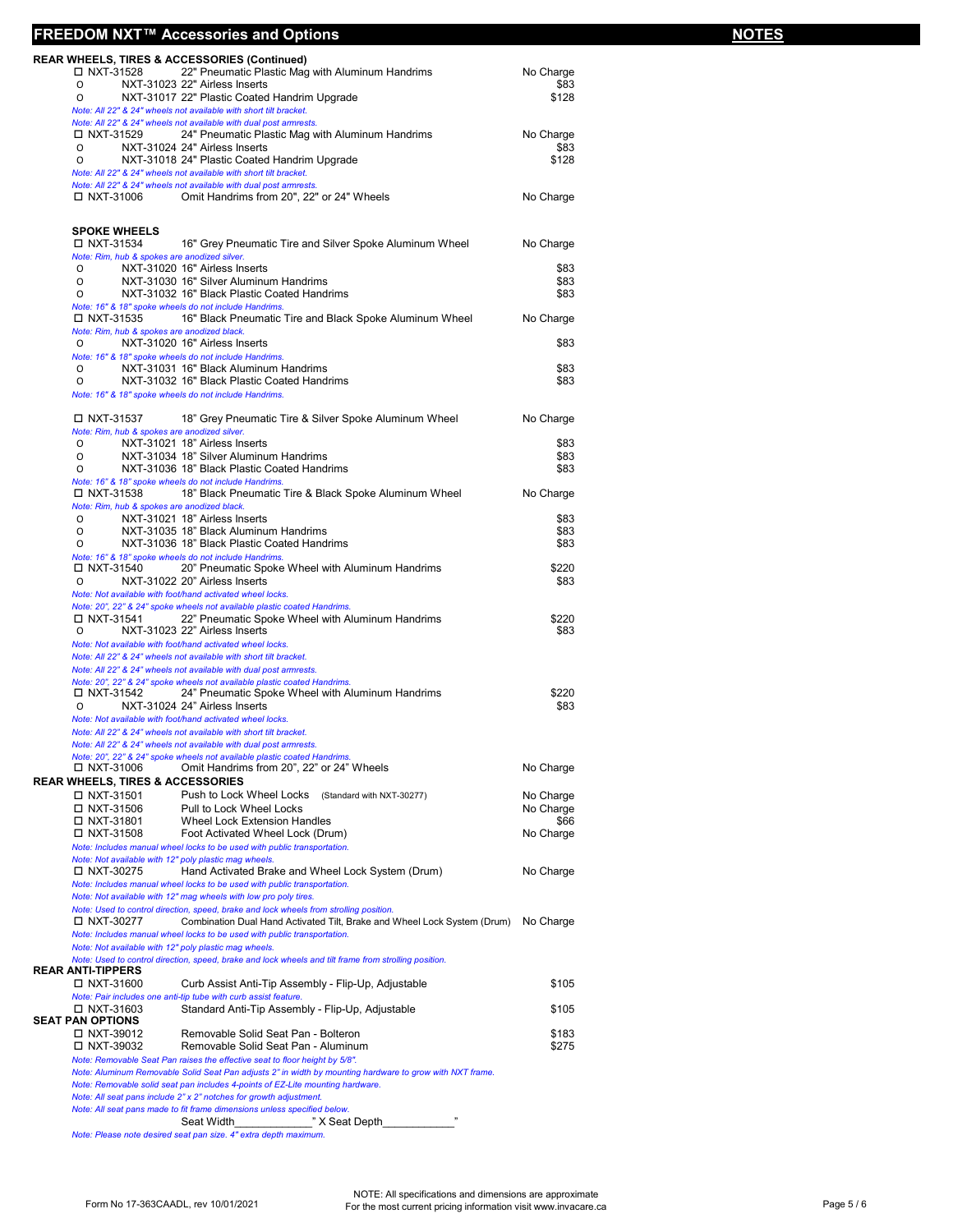## **FREEDOM NXT™ Accessories and Options NOTES**

| Note: All 22" & 24" wheels not available with dual post armrests.<br>□ NXT-31006<br><b>SPOKE WHEELS</b><br>□ NXT-31534<br>Note: Rim, hub & spokes are anodized silver.<br>NXT-31020 16" Airless Inserts<br>0<br>0<br>0<br>Note: 16" & 18" spoke wheels do not include Handrims.<br>□ NXT-31535<br>Note: Rim, hub & spokes are anodized black.<br>NXT-31020 16" Airless Inserts<br>O<br>Note: 16" & 18" spoke wheels do not include Handrims.<br>0<br>O<br>Note: 16" & 18" spoke wheels do not include Handrims.<br>□ NXT-31537<br>Note: Rim, hub & spokes are anodized silver.<br>NXT-31021 18" Airless Inserts<br>0<br>0<br>0<br>Note: 16" & 18" spoke wheels do not include Handrims.<br>□ NXT-31538<br>Note: Rim, hub & spokes are anodized black.<br>NXT-31021 18" Airless Inserts<br>0<br>0<br>0<br>Note: 16" & 18" spoke wheels do not include Handrims.<br>□ NXT-31540<br>NXT-31022 20" Airless Inserts<br>$\circ$<br>Note: Not available with foot/hand activated wheel locks.<br>Note: 20", 22" & 24" spoke wheels not available plastic coated Handrims.<br>$\Box$ NXT-31541<br>NXT-31023 22" Airless Inserts<br>$\circ$<br>Note: Not available with foot/hand activated wheel locks.<br>Note: All 22" & 24" wheels not available with short tilt bracket.<br>Note: All 22" & 24" wheels not available with dual post armrests.<br>Note: 20", 22" & 24" spoke wheels not available plastic coated Handrims.<br>□ NXT-31542<br>NXT-31024 24" Airless Inserts<br>0<br>Note: Not available with foot/hand activated wheel locks.<br>Note: All 22" & 24" wheels not available with short tilt bracket.<br>Note: All 22" & 24" wheels not available with dual post armrests.<br>Note: 20", 22" & 24" spoke wheels not available plastic coated Handrims.<br>□ NXT-31006<br><b>REAR WHEELS, TIRES &amp; ACCESSORIES</b><br>□ NXT-31501<br>□ NXT-31506<br>□ NXT-31801<br>□ NXT-31508<br>Note: Includes manual wheel locks to be used with public transportation.<br>Note: Not available with 12" poly plastic mag wheels.<br>□ NXT-30275<br>Note: Includes manual wheel locks to be used with public transportation.<br>Note: Not available with 12" mag wheels with low pro poly tires.<br>□ NXT-30277<br>Note: Includes manual wheel locks to be used with public transportation.<br>Note: Not available with 12" poly plastic mag wheels.<br>REAR ANTI-TIPPERS<br>□ NXT-31600<br>Note: Pair includes one anti-tip tube with curb assist feature.<br>□ NXT-31603<br>SEAT PAN OPTIONS<br>□ NXT-39012<br>□ NXT-39032<br>Note: Removable Seat Pan raises the effective seat to floor height by 5/8".<br>Note: All seat pans include 2" x 2" notches for growth adjustment.<br>Note: All seat pans made to fit frame dimensions unless specified below. | 18" Black Pneumatic Tire & Black Spoke Aluminum Wheel<br>NXT-31035 18" Black Aluminum Handrims<br>NXT-31036 18" Black Plastic Coated Handrims<br>20" Pneumatic Spoke Wheel with Aluminum Handrims<br>22" Pneumatic Spoke Wheel with Aluminum Handrims<br>24" Pneumatic Spoke Wheel with Aluminum Handrims<br>Omit Handrims from 20", 22" or 24" Wheels<br>Push to Lock Wheel Locks (Standard with NXT-30277)<br>Pull to Lock Wheel Locks<br>Wheel Lock Extension Handles<br>Foot Activated Wheel Lock (Drum)<br>Hand Activated Brake and Wheel Lock System (Drum)<br>Note: Used to control direction, speed, brake and lock wheels from strolling position.<br>Combination Dual Hand Activated Tilt, Brake and Wheel Lock System (Drum)<br>Note: Used to control direction, speed, brake and lock wheels and tilt frame from strolling position.<br>Curb Assist Anti-Tip Assembly - Flip-Up, Adjustable<br>Standard Anti-Tip Assembly - Flip-Up, Adjustable<br>Removable Solid Seat Pan - Bolteron<br>Removable Solid Seat Pan - Aluminum<br>Note: Aluminum Removable Solid Seat Pan adjusts 2" in width by mounting hardware to grow with NXT frame.<br>Note: Removable solid seat pan includes 4-points of EZ-Lite mounting hardware. | \$83<br>\$83<br>\$83<br>\$220<br>\$83<br>\$220<br>\$83<br>\$220<br>\$83<br>No Charge<br>No Charge<br>No Charge<br>\$66<br>No Charge<br>No Charge<br>No Charge<br>\$105<br>\$105<br>\$183<br>\$275 |  |
|----------------------------------------------------------------------------------------------------------------------------------------------------------------------------------------------------------------------------------------------------------------------------------------------------------------------------------------------------------------------------------------------------------------------------------------------------------------------------------------------------------------------------------------------------------------------------------------------------------------------------------------------------------------------------------------------------------------------------------------------------------------------------------------------------------------------------------------------------------------------------------------------------------------------------------------------------------------------------------------------------------------------------------------------------------------------------------------------------------------------------------------------------------------------------------------------------------------------------------------------------------------------------------------------------------------------------------------------------------------------------------------------------------------------------------------------------------------------------------------------------------------------------------------------------------------------------------------------------------------------------------------------------------------------------------------------------------------------------------------------------------------------------------------------------------------------------------------------------------------------------------------------------------------------------------------------------------------------------------------------------------------------------------------------------------------------------------------------------------------------------------------------------------------------------------------------------------------------------------------------------------------------------------------------------------------------------------------------------------------------------------------------------------------------------------------------------------------------------------------------------------------------------------------------------------------------------------------------------------------------------------------------------------------------------------------------------------------------------------------------------------|-----------------------------------------------------------------------------------------------------------------------------------------------------------------------------------------------------------------------------------------------------------------------------------------------------------------------------------------------------------------------------------------------------------------------------------------------------------------------------------------------------------------------------------------------------------------------------------------------------------------------------------------------------------------------------------------------------------------------------------------------------------------------------------------------------------------------------------------------------------------------------------------------------------------------------------------------------------------------------------------------------------------------------------------------------------------------------------------------------------------------------------------------------------------------------------------------------------------------------------------|---------------------------------------------------------------------------------------------------------------------------------------------------------------------------------------------------|--|
|                                                                                                                                                                                                                                                                                                                                                                                                                                                                                                                                                                                                                                                                                                                                                                                                                                                                                                                                                                                                                                                                                                                                                                                                                                                                                                                                                                                                                                                                                                                                                                                                                                                                                                                                                                                                                                                                                                                                                                                                                                                                                                                                                                                                                                                                                                                                                                                                                                                                                                                                                                                                                                                                                                                                                          |                                                                                                                                                                                                                                                                                                                                                                                                                                                                                                                                                                                                                                                                                                                                                                                                                                                                                                                                                                                                                                                                                                                                                                                                                                         |                                                                                                                                                                                                   |  |
|                                                                                                                                                                                                                                                                                                                                                                                                                                                                                                                                                                                                                                                                                                                                                                                                                                                                                                                                                                                                                                                                                                                                                                                                                                                                                                                                                                                                                                                                                                                                                                                                                                                                                                                                                                                                                                                                                                                                                                                                                                                                                                                                                                                                                                                                                                                                                                                                                                                                                                                                                                                                                                                                                                                                                          |                                                                                                                                                                                                                                                                                                                                                                                                                                                                                                                                                                                                                                                                                                                                                                                                                                                                                                                                                                                                                                                                                                                                                                                                                                         |                                                                                                                                                                                                   |  |
|                                                                                                                                                                                                                                                                                                                                                                                                                                                                                                                                                                                                                                                                                                                                                                                                                                                                                                                                                                                                                                                                                                                                                                                                                                                                                                                                                                                                                                                                                                                                                                                                                                                                                                                                                                                                                                                                                                                                                                                                                                                                                                                                                                                                                                                                                                                                                                                                                                                                                                                                                                                                                                                                                                                                                          |                                                                                                                                                                                                                                                                                                                                                                                                                                                                                                                                                                                                                                                                                                                                                                                                                                                                                                                                                                                                                                                                                                                                                                                                                                         |                                                                                                                                                                                                   |  |
|                                                                                                                                                                                                                                                                                                                                                                                                                                                                                                                                                                                                                                                                                                                                                                                                                                                                                                                                                                                                                                                                                                                                                                                                                                                                                                                                                                                                                                                                                                                                                                                                                                                                                                                                                                                                                                                                                                                                                                                                                                                                                                                                                                                                                                                                                                                                                                                                                                                                                                                                                                                                                                                                                                                                                          |                                                                                                                                                                                                                                                                                                                                                                                                                                                                                                                                                                                                                                                                                                                                                                                                                                                                                                                                                                                                                                                                                                                                                                                                                                         |                                                                                                                                                                                                   |  |
|                                                                                                                                                                                                                                                                                                                                                                                                                                                                                                                                                                                                                                                                                                                                                                                                                                                                                                                                                                                                                                                                                                                                                                                                                                                                                                                                                                                                                                                                                                                                                                                                                                                                                                                                                                                                                                                                                                                                                                                                                                                                                                                                                                                                                                                                                                                                                                                                                                                                                                                                                                                                                                                                                                                                                          |                                                                                                                                                                                                                                                                                                                                                                                                                                                                                                                                                                                                                                                                                                                                                                                                                                                                                                                                                                                                                                                                                                                                                                                                                                         |                                                                                                                                                                                                   |  |
|                                                                                                                                                                                                                                                                                                                                                                                                                                                                                                                                                                                                                                                                                                                                                                                                                                                                                                                                                                                                                                                                                                                                                                                                                                                                                                                                                                                                                                                                                                                                                                                                                                                                                                                                                                                                                                                                                                                                                                                                                                                                                                                                                                                                                                                                                                                                                                                                                                                                                                                                                                                                                                                                                                                                                          |                                                                                                                                                                                                                                                                                                                                                                                                                                                                                                                                                                                                                                                                                                                                                                                                                                                                                                                                                                                                                                                                                                                                                                                                                                         |                                                                                                                                                                                                   |  |
|                                                                                                                                                                                                                                                                                                                                                                                                                                                                                                                                                                                                                                                                                                                                                                                                                                                                                                                                                                                                                                                                                                                                                                                                                                                                                                                                                                                                                                                                                                                                                                                                                                                                                                                                                                                                                                                                                                                                                                                                                                                                                                                                                                                                                                                                                                                                                                                                                                                                                                                                                                                                                                                                                                                                                          |                                                                                                                                                                                                                                                                                                                                                                                                                                                                                                                                                                                                                                                                                                                                                                                                                                                                                                                                                                                                                                                                                                                                                                                                                                         |                                                                                                                                                                                                   |  |
|                                                                                                                                                                                                                                                                                                                                                                                                                                                                                                                                                                                                                                                                                                                                                                                                                                                                                                                                                                                                                                                                                                                                                                                                                                                                                                                                                                                                                                                                                                                                                                                                                                                                                                                                                                                                                                                                                                                                                                                                                                                                                                                                                                                                                                                                                                                                                                                                                                                                                                                                                                                                                                                                                                                                                          |                                                                                                                                                                                                                                                                                                                                                                                                                                                                                                                                                                                                                                                                                                                                                                                                                                                                                                                                                                                                                                                                                                                                                                                                                                         |                                                                                                                                                                                                   |  |
|                                                                                                                                                                                                                                                                                                                                                                                                                                                                                                                                                                                                                                                                                                                                                                                                                                                                                                                                                                                                                                                                                                                                                                                                                                                                                                                                                                                                                                                                                                                                                                                                                                                                                                                                                                                                                                                                                                                                                                                                                                                                                                                                                                                                                                                                                                                                                                                                                                                                                                                                                                                                                                                                                                                                                          |                                                                                                                                                                                                                                                                                                                                                                                                                                                                                                                                                                                                                                                                                                                                                                                                                                                                                                                                                                                                                                                                                                                                                                                                                                         |                                                                                                                                                                                                   |  |
|                                                                                                                                                                                                                                                                                                                                                                                                                                                                                                                                                                                                                                                                                                                                                                                                                                                                                                                                                                                                                                                                                                                                                                                                                                                                                                                                                                                                                                                                                                                                                                                                                                                                                                                                                                                                                                                                                                                                                                                                                                                                                                                                                                                                                                                                                                                                                                                                                                                                                                                                                                                                                                                                                                                                                          |                                                                                                                                                                                                                                                                                                                                                                                                                                                                                                                                                                                                                                                                                                                                                                                                                                                                                                                                                                                                                                                                                                                                                                                                                                         |                                                                                                                                                                                                   |  |
|                                                                                                                                                                                                                                                                                                                                                                                                                                                                                                                                                                                                                                                                                                                                                                                                                                                                                                                                                                                                                                                                                                                                                                                                                                                                                                                                                                                                                                                                                                                                                                                                                                                                                                                                                                                                                                                                                                                                                                                                                                                                                                                                                                                                                                                                                                                                                                                                                                                                                                                                                                                                                                                                                                                                                          |                                                                                                                                                                                                                                                                                                                                                                                                                                                                                                                                                                                                                                                                                                                                                                                                                                                                                                                                                                                                                                                                                                                                                                                                                                         |                                                                                                                                                                                                   |  |
|                                                                                                                                                                                                                                                                                                                                                                                                                                                                                                                                                                                                                                                                                                                                                                                                                                                                                                                                                                                                                                                                                                                                                                                                                                                                                                                                                                                                                                                                                                                                                                                                                                                                                                                                                                                                                                                                                                                                                                                                                                                                                                                                                                                                                                                                                                                                                                                                                                                                                                                                                                                                                                                                                                                                                          |                                                                                                                                                                                                                                                                                                                                                                                                                                                                                                                                                                                                                                                                                                                                                                                                                                                                                                                                                                                                                                                                                                                                                                                                                                         |                                                                                                                                                                                                   |  |
|                                                                                                                                                                                                                                                                                                                                                                                                                                                                                                                                                                                                                                                                                                                                                                                                                                                                                                                                                                                                                                                                                                                                                                                                                                                                                                                                                                                                                                                                                                                                                                                                                                                                                                                                                                                                                                                                                                                                                                                                                                                                                                                                                                                                                                                                                                                                                                                                                                                                                                                                                                                                                                                                                                                                                          |                                                                                                                                                                                                                                                                                                                                                                                                                                                                                                                                                                                                                                                                                                                                                                                                                                                                                                                                                                                                                                                                                                                                                                                                                                         |                                                                                                                                                                                                   |  |
|                                                                                                                                                                                                                                                                                                                                                                                                                                                                                                                                                                                                                                                                                                                                                                                                                                                                                                                                                                                                                                                                                                                                                                                                                                                                                                                                                                                                                                                                                                                                                                                                                                                                                                                                                                                                                                                                                                                                                                                                                                                                                                                                                                                                                                                                                                                                                                                                                                                                                                                                                                                                                                                                                                                                                          |                                                                                                                                                                                                                                                                                                                                                                                                                                                                                                                                                                                                                                                                                                                                                                                                                                                                                                                                                                                                                                                                                                                                                                                                                                         |                                                                                                                                                                                                   |  |
|                                                                                                                                                                                                                                                                                                                                                                                                                                                                                                                                                                                                                                                                                                                                                                                                                                                                                                                                                                                                                                                                                                                                                                                                                                                                                                                                                                                                                                                                                                                                                                                                                                                                                                                                                                                                                                                                                                                                                                                                                                                                                                                                                                                                                                                                                                                                                                                                                                                                                                                                                                                                                                                                                                                                                          |                                                                                                                                                                                                                                                                                                                                                                                                                                                                                                                                                                                                                                                                                                                                                                                                                                                                                                                                                                                                                                                                                                                                                                                                                                         |                                                                                                                                                                                                   |  |
|                                                                                                                                                                                                                                                                                                                                                                                                                                                                                                                                                                                                                                                                                                                                                                                                                                                                                                                                                                                                                                                                                                                                                                                                                                                                                                                                                                                                                                                                                                                                                                                                                                                                                                                                                                                                                                                                                                                                                                                                                                                                                                                                                                                                                                                                                                                                                                                                                                                                                                                                                                                                                                                                                                                                                          |                                                                                                                                                                                                                                                                                                                                                                                                                                                                                                                                                                                                                                                                                                                                                                                                                                                                                                                                                                                                                                                                                                                                                                                                                                         |                                                                                                                                                                                                   |  |
|                                                                                                                                                                                                                                                                                                                                                                                                                                                                                                                                                                                                                                                                                                                                                                                                                                                                                                                                                                                                                                                                                                                                                                                                                                                                                                                                                                                                                                                                                                                                                                                                                                                                                                                                                                                                                                                                                                                                                                                                                                                                                                                                                                                                                                                                                                                                                                                                                                                                                                                                                                                                                                                                                                                                                          |                                                                                                                                                                                                                                                                                                                                                                                                                                                                                                                                                                                                                                                                                                                                                                                                                                                                                                                                                                                                                                                                                                                                                                                                                                         |                                                                                                                                                                                                   |  |
|                                                                                                                                                                                                                                                                                                                                                                                                                                                                                                                                                                                                                                                                                                                                                                                                                                                                                                                                                                                                                                                                                                                                                                                                                                                                                                                                                                                                                                                                                                                                                                                                                                                                                                                                                                                                                                                                                                                                                                                                                                                                                                                                                                                                                                                                                                                                                                                                                                                                                                                                                                                                                                                                                                                                                          |                                                                                                                                                                                                                                                                                                                                                                                                                                                                                                                                                                                                                                                                                                                                                                                                                                                                                                                                                                                                                                                                                                                                                                                                                                         |                                                                                                                                                                                                   |  |
|                                                                                                                                                                                                                                                                                                                                                                                                                                                                                                                                                                                                                                                                                                                                                                                                                                                                                                                                                                                                                                                                                                                                                                                                                                                                                                                                                                                                                                                                                                                                                                                                                                                                                                                                                                                                                                                                                                                                                                                                                                                                                                                                                                                                                                                                                                                                                                                                                                                                                                                                                                                                                                                                                                                                                          |                                                                                                                                                                                                                                                                                                                                                                                                                                                                                                                                                                                                                                                                                                                                                                                                                                                                                                                                                                                                                                                                                                                                                                                                                                         |                                                                                                                                                                                                   |  |
|                                                                                                                                                                                                                                                                                                                                                                                                                                                                                                                                                                                                                                                                                                                                                                                                                                                                                                                                                                                                                                                                                                                                                                                                                                                                                                                                                                                                                                                                                                                                                                                                                                                                                                                                                                                                                                                                                                                                                                                                                                                                                                                                                                                                                                                                                                                                                                                                                                                                                                                                                                                                                                                                                                                                                          |                                                                                                                                                                                                                                                                                                                                                                                                                                                                                                                                                                                                                                                                                                                                                                                                                                                                                                                                                                                                                                                                                                                                                                                                                                         |                                                                                                                                                                                                   |  |
|                                                                                                                                                                                                                                                                                                                                                                                                                                                                                                                                                                                                                                                                                                                                                                                                                                                                                                                                                                                                                                                                                                                                                                                                                                                                                                                                                                                                                                                                                                                                                                                                                                                                                                                                                                                                                                                                                                                                                                                                                                                                                                                                                                                                                                                                                                                                                                                                                                                                                                                                                                                                                                                                                                                                                          |                                                                                                                                                                                                                                                                                                                                                                                                                                                                                                                                                                                                                                                                                                                                                                                                                                                                                                                                                                                                                                                                                                                                                                                                                                         |                                                                                                                                                                                                   |  |
|                                                                                                                                                                                                                                                                                                                                                                                                                                                                                                                                                                                                                                                                                                                                                                                                                                                                                                                                                                                                                                                                                                                                                                                                                                                                                                                                                                                                                                                                                                                                                                                                                                                                                                                                                                                                                                                                                                                                                                                                                                                                                                                                                                                                                                                                                                                                                                                                                                                                                                                                                                                                                                                                                                                                                          |                                                                                                                                                                                                                                                                                                                                                                                                                                                                                                                                                                                                                                                                                                                                                                                                                                                                                                                                                                                                                                                                                                                                                                                                                                         |                                                                                                                                                                                                   |  |
|                                                                                                                                                                                                                                                                                                                                                                                                                                                                                                                                                                                                                                                                                                                                                                                                                                                                                                                                                                                                                                                                                                                                                                                                                                                                                                                                                                                                                                                                                                                                                                                                                                                                                                                                                                                                                                                                                                                                                                                                                                                                                                                                                                                                                                                                                                                                                                                                                                                                                                                                                                                                                                                                                                                                                          |                                                                                                                                                                                                                                                                                                                                                                                                                                                                                                                                                                                                                                                                                                                                                                                                                                                                                                                                                                                                                                                                                                                                                                                                                                         |                                                                                                                                                                                                   |  |
|                                                                                                                                                                                                                                                                                                                                                                                                                                                                                                                                                                                                                                                                                                                                                                                                                                                                                                                                                                                                                                                                                                                                                                                                                                                                                                                                                                                                                                                                                                                                                                                                                                                                                                                                                                                                                                                                                                                                                                                                                                                                                                                                                                                                                                                                                                                                                                                                                                                                                                                                                                                                                                                                                                                                                          |                                                                                                                                                                                                                                                                                                                                                                                                                                                                                                                                                                                                                                                                                                                                                                                                                                                                                                                                                                                                                                                                                                                                                                                                                                         |                                                                                                                                                                                                   |  |
|                                                                                                                                                                                                                                                                                                                                                                                                                                                                                                                                                                                                                                                                                                                                                                                                                                                                                                                                                                                                                                                                                                                                                                                                                                                                                                                                                                                                                                                                                                                                                                                                                                                                                                                                                                                                                                                                                                                                                                                                                                                                                                                                                                                                                                                                                                                                                                                                                                                                                                                                                                                                                                                                                                                                                          |                                                                                                                                                                                                                                                                                                                                                                                                                                                                                                                                                                                                                                                                                                                                                                                                                                                                                                                                                                                                                                                                                                                                                                                                                                         |                                                                                                                                                                                                   |  |
|                                                                                                                                                                                                                                                                                                                                                                                                                                                                                                                                                                                                                                                                                                                                                                                                                                                                                                                                                                                                                                                                                                                                                                                                                                                                                                                                                                                                                                                                                                                                                                                                                                                                                                                                                                                                                                                                                                                                                                                                                                                                                                                                                                                                                                                                                                                                                                                                                                                                                                                                                                                                                                                                                                                                                          |                                                                                                                                                                                                                                                                                                                                                                                                                                                                                                                                                                                                                                                                                                                                                                                                                                                                                                                                                                                                                                                                                                                                                                                                                                         |                                                                                                                                                                                                   |  |
|                                                                                                                                                                                                                                                                                                                                                                                                                                                                                                                                                                                                                                                                                                                                                                                                                                                                                                                                                                                                                                                                                                                                                                                                                                                                                                                                                                                                                                                                                                                                                                                                                                                                                                                                                                                                                                                                                                                                                                                                                                                                                                                                                                                                                                                                                                                                                                                                                                                                                                                                                                                                                                                                                                                                                          |                                                                                                                                                                                                                                                                                                                                                                                                                                                                                                                                                                                                                                                                                                                                                                                                                                                                                                                                                                                                                                                                                                                                                                                                                                         |                                                                                                                                                                                                   |  |
|                                                                                                                                                                                                                                                                                                                                                                                                                                                                                                                                                                                                                                                                                                                                                                                                                                                                                                                                                                                                                                                                                                                                                                                                                                                                                                                                                                                                                                                                                                                                                                                                                                                                                                                                                                                                                                                                                                                                                                                                                                                                                                                                                                                                                                                                                                                                                                                                                                                                                                                                                                                                                                                                                                                                                          |                                                                                                                                                                                                                                                                                                                                                                                                                                                                                                                                                                                                                                                                                                                                                                                                                                                                                                                                                                                                                                                                                                                                                                                                                                         |                                                                                                                                                                                                   |  |
|                                                                                                                                                                                                                                                                                                                                                                                                                                                                                                                                                                                                                                                                                                                                                                                                                                                                                                                                                                                                                                                                                                                                                                                                                                                                                                                                                                                                                                                                                                                                                                                                                                                                                                                                                                                                                                                                                                                                                                                                                                                                                                                                                                                                                                                                                                                                                                                                                                                                                                                                                                                                                                                                                                                                                          |                                                                                                                                                                                                                                                                                                                                                                                                                                                                                                                                                                                                                                                                                                                                                                                                                                                                                                                                                                                                                                                                                                                                                                                                                                         |                                                                                                                                                                                                   |  |
|                                                                                                                                                                                                                                                                                                                                                                                                                                                                                                                                                                                                                                                                                                                                                                                                                                                                                                                                                                                                                                                                                                                                                                                                                                                                                                                                                                                                                                                                                                                                                                                                                                                                                                                                                                                                                                                                                                                                                                                                                                                                                                                                                                                                                                                                                                                                                                                                                                                                                                                                                                                                                                                                                                                                                          |                                                                                                                                                                                                                                                                                                                                                                                                                                                                                                                                                                                                                                                                                                                                                                                                                                                                                                                                                                                                                                                                                                                                                                                                                                         |                                                                                                                                                                                                   |  |
|                                                                                                                                                                                                                                                                                                                                                                                                                                                                                                                                                                                                                                                                                                                                                                                                                                                                                                                                                                                                                                                                                                                                                                                                                                                                                                                                                                                                                                                                                                                                                                                                                                                                                                                                                                                                                                                                                                                                                                                                                                                                                                                                                                                                                                                                                                                                                                                                                                                                                                                                                                                                                                                                                                                                                          |                                                                                                                                                                                                                                                                                                                                                                                                                                                                                                                                                                                                                                                                                                                                                                                                                                                                                                                                                                                                                                                                                                                                                                                                                                         | No Charge                                                                                                                                                                                         |  |
|                                                                                                                                                                                                                                                                                                                                                                                                                                                                                                                                                                                                                                                                                                                                                                                                                                                                                                                                                                                                                                                                                                                                                                                                                                                                                                                                                                                                                                                                                                                                                                                                                                                                                                                                                                                                                                                                                                                                                                                                                                                                                                                                                                                                                                                                                                                                                                                                                                                                                                                                                                                                                                                                                                                                                          |                                                                                                                                                                                                                                                                                                                                                                                                                                                                                                                                                                                                                                                                                                                                                                                                                                                                                                                                                                                                                                                                                                                                                                                                                                         |                                                                                                                                                                                                   |  |
|                                                                                                                                                                                                                                                                                                                                                                                                                                                                                                                                                                                                                                                                                                                                                                                                                                                                                                                                                                                                                                                                                                                                                                                                                                                                                                                                                                                                                                                                                                                                                                                                                                                                                                                                                                                                                                                                                                                                                                                                                                                                                                                                                                                                                                                                                                                                                                                                                                                                                                                                                                                                                                                                                                                                                          | NXT-31034 18" Silver Aluminum Handrims<br>NXT-31036 18" Black Plastic Coated Handrims                                                                                                                                                                                                                                                                                                                                                                                                                                                                                                                                                                                                                                                                                                                                                                                                                                                                                                                                                                                                                                                                                                                                                   | \$83<br>\$83                                                                                                                                                                                      |  |
|                                                                                                                                                                                                                                                                                                                                                                                                                                                                                                                                                                                                                                                                                                                                                                                                                                                                                                                                                                                                                                                                                                                                                                                                                                                                                                                                                                                                                                                                                                                                                                                                                                                                                                                                                                                                                                                                                                                                                                                                                                                                                                                                                                                                                                                                                                                                                                                                                                                                                                                                                                                                                                                                                                                                                          |                                                                                                                                                                                                                                                                                                                                                                                                                                                                                                                                                                                                                                                                                                                                                                                                                                                                                                                                                                                                                                                                                                                                                                                                                                         | \$83                                                                                                                                                                                              |  |
|                                                                                                                                                                                                                                                                                                                                                                                                                                                                                                                                                                                                                                                                                                                                                                                                                                                                                                                                                                                                                                                                                                                                                                                                                                                                                                                                                                                                                                                                                                                                                                                                                                                                                                                                                                                                                                                                                                                                                                                                                                                                                                                                                                                                                                                                                                                                                                                                                                                                                                                                                                                                                                                                                                                                                          | 18" Grey Pneumatic Tire & Silver Spoke Aluminum Wheel                                                                                                                                                                                                                                                                                                                                                                                                                                                                                                                                                                                                                                                                                                                                                                                                                                                                                                                                                                                                                                                                                                                                                                                   | No Charge                                                                                                                                                                                         |  |
|                                                                                                                                                                                                                                                                                                                                                                                                                                                                                                                                                                                                                                                                                                                                                                                                                                                                                                                                                                                                                                                                                                                                                                                                                                                                                                                                                                                                                                                                                                                                                                                                                                                                                                                                                                                                                                                                                                                                                                                                                                                                                                                                                                                                                                                                                                                                                                                                                                                                                                                                                                                                                                                                                                                                                          |                                                                                                                                                                                                                                                                                                                                                                                                                                                                                                                                                                                                                                                                                                                                                                                                                                                                                                                                                                                                                                                                                                                                                                                                                                         |                                                                                                                                                                                                   |  |
|                                                                                                                                                                                                                                                                                                                                                                                                                                                                                                                                                                                                                                                                                                                                                                                                                                                                                                                                                                                                                                                                                                                                                                                                                                                                                                                                                                                                                                                                                                                                                                                                                                                                                                                                                                                                                                                                                                                                                                                                                                                                                                                                                                                                                                                                                                                                                                                                                                                                                                                                                                                                                                                                                                                                                          | NXT-31032 16" Black Plastic Coated Handrims                                                                                                                                                                                                                                                                                                                                                                                                                                                                                                                                                                                                                                                                                                                                                                                                                                                                                                                                                                                                                                                                                                                                                                                             | \$83                                                                                                                                                                                              |  |
|                                                                                                                                                                                                                                                                                                                                                                                                                                                                                                                                                                                                                                                                                                                                                                                                                                                                                                                                                                                                                                                                                                                                                                                                                                                                                                                                                                                                                                                                                                                                                                                                                                                                                                                                                                                                                                                                                                                                                                                                                                                                                                                                                                                                                                                                                                                                                                                                                                                                                                                                                                                                                                                                                                                                                          | NXT-31031 16" Black Aluminum Handrims                                                                                                                                                                                                                                                                                                                                                                                                                                                                                                                                                                                                                                                                                                                                                                                                                                                                                                                                                                                                                                                                                                                                                                                                   | \$83                                                                                                                                                                                              |  |
|                                                                                                                                                                                                                                                                                                                                                                                                                                                                                                                                                                                                                                                                                                                                                                                                                                                                                                                                                                                                                                                                                                                                                                                                                                                                                                                                                                                                                                                                                                                                                                                                                                                                                                                                                                                                                                                                                                                                                                                                                                                                                                                                                                                                                                                                                                                                                                                                                                                                                                                                                                                                                                                                                                                                                          |                                                                                                                                                                                                                                                                                                                                                                                                                                                                                                                                                                                                                                                                                                                                                                                                                                                                                                                                                                                                                                                                                                                                                                                                                                         | \$83                                                                                                                                                                                              |  |
|                                                                                                                                                                                                                                                                                                                                                                                                                                                                                                                                                                                                                                                                                                                                                                                                                                                                                                                                                                                                                                                                                                                                                                                                                                                                                                                                                                                                                                                                                                                                                                                                                                                                                                                                                                                                                                                                                                                                                                                                                                                                                                                                                                                                                                                                                                                                                                                                                                                                                                                                                                                                                                                                                                                                                          | 16" Black Pneumatic Tire and Black Spoke Aluminum Wheel                                                                                                                                                                                                                                                                                                                                                                                                                                                                                                                                                                                                                                                                                                                                                                                                                                                                                                                                                                                                                                                                                                                                                                                 | No Charge                                                                                                                                                                                         |  |
|                                                                                                                                                                                                                                                                                                                                                                                                                                                                                                                                                                                                                                                                                                                                                                                                                                                                                                                                                                                                                                                                                                                                                                                                                                                                                                                                                                                                                                                                                                                                                                                                                                                                                                                                                                                                                                                                                                                                                                                                                                                                                                                                                                                                                                                                                                                                                                                                                                                                                                                                                                                                                                                                                                                                                          |                                                                                                                                                                                                                                                                                                                                                                                                                                                                                                                                                                                                                                                                                                                                                                                                                                                                                                                                                                                                                                                                                                                                                                                                                                         |                                                                                                                                                                                                   |  |
|                                                                                                                                                                                                                                                                                                                                                                                                                                                                                                                                                                                                                                                                                                                                                                                                                                                                                                                                                                                                                                                                                                                                                                                                                                                                                                                                                                                                                                                                                                                                                                                                                                                                                                                                                                                                                                                                                                                                                                                                                                                                                                                                                                                                                                                                                                                                                                                                                                                                                                                                                                                                                                                                                                                                                          | NXT-31030 16" Silver Aluminum Handrims<br>NXT-31032 16" Black Plastic Coated Handrims                                                                                                                                                                                                                                                                                                                                                                                                                                                                                                                                                                                                                                                                                                                                                                                                                                                                                                                                                                                                                                                                                                                                                   | \$83<br>\$83                                                                                                                                                                                      |  |
|                                                                                                                                                                                                                                                                                                                                                                                                                                                                                                                                                                                                                                                                                                                                                                                                                                                                                                                                                                                                                                                                                                                                                                                                                                                                                                                                                                                                                                                                                                                                                                                                                                                                                                                                                                                                                                                                                                                                                                                                                                                                                                                                                                                                                                                                                                                                                                                                                                                                                                                                                                                                                                                                                                                                                          |                                                                                                                                                                                                                                                                                                                                                                                                                                                                                                                                                                                                                                                                                                                                                                                                                                                                                                                                                                                                                                                                                                                                                                                                                                         | \$83                                                                                                                                                                                              |  |
|                                                                                                                                                                                                                                                                                                                                                                                                                                                                                                                                                                                                                                                                                                                                                                                                                                                                                                                                                                                                                                                                                                                                                                                                                                                                                                                                                                                                                                                                                                                                                                                                                                                                                                                                                                                                                                                                                                                                                                                                                                                                                                                                                                                                                                                                                                                                                                                                                                                                                                                                                                                                                                                                                                                                                          | 16" Grey Pneumatic Tire and Silver Spoke Aluminum Wheel                                                                                                                                                                                                                                                                                                                                                                                                                                                                                                                                                                                                                                                                                                                                                                                                                                                                                                                                                                                                                                                                                                                                                                                 | No Charge                                                                                                                                                                                         |  |
|                                                                                                                                                                                                                                                                                                                                                                                                                                                                                                                                                                                                                                                                                                                                                                                                                                                                                                                                                                                                                                                                                                                                                                                                                                                                                                                                                                                                                                                                                                                                                                                                                                                                                                                                                                                                                                                                                                                                                                                                                                                                                                                                                                                                                                                                                                                                                                                                                                                                                                                                                                                                                                                                                                                                                          |                                                                                                                                                                                                                                                                                                                                                                                                                                                                                                                                                                                                                                                                                                                                                                                                                                                                                                                                                                                                                                                                                                                                                                                                                                         |                                                                                                                                                                                                   |  |
|                                                                                                                                                                                                                                                                                                                                                                                                                                                                                                                                                                                                                                                                                                                                                                                                                                                                                                                                                                                                                                                                                                                                                                                                                                                                                                                                                                                                                                                                                                                                                                                                                                                                                                                                                                                                                                                                                                                                                                                                                                                                                                                                                                                                                                                                                                                                                                                                                                                                                                                                                                                                                                                                                                                                                          |                                                                                                                                                                                                                                                                                                                                                                                                                                                                                                                                                                                                                                                                                                                                                                                                                                                                                                                                                                                                                                                                                                                                                                                                                                         |                                                                                                                                                                                                   |  |
|                                                                                                                                                                                                                                                                                                                                                                                                                                                                                                                                                                                                                                                                                                                                                                                                                                                                                                                                                                                                                                                                                                                                                                                                                                                                                                                                                                                                                                                                                                                                                                                                                                                                                                                                                                                                                                                                                                                                                                                                                                                                                                                                                                                                                                                                                                                                                                                                                                                                                                                                                                                                                                                                                                                                                          | Omit Handrims from 20", 22" or 24" Wheels                                                                                                                                                                                                                                                                                                                                                                                                                                                                                                                                                                                                                                                                                                                                                                                                                                                                                                                                                                                                                                                                                                                                                                                               | No Charge                                                                                                                                                                                         |  |
| Note: All 22" & 24" wheels not available with short tilt bracket.                                                                                                                                                                                                                                                                                                                                                                                                                                                                                                                                                                                                                                                                                                                                                                                                                                                                                                                                                                                                                                                                                                                                                                                                                                                                                                                                                                                                                                                                                                                                                                                                                                                                                                                                                                                                                                                                                                                                                                                                                                                                                                                                                                                                                                                                                                                                                                                                                                                                                                                                                                                                                                                                                        |                                                                                                                                                                                                                                                                                                                                                                                                                                                                                                                                                                                                                                                                                                                                                                                                                                                                                                                                                                                                                                                                                                                                                                                                                                         |                                                                                                                                                                                                   |  |
| NXT-31024 24" Airless Inserts<br>0<br>0                                                                                                                                                                                                                                                                                                                                                                                                                                                                                                                                                                                                                                                                                                                                                                                                                                                                                                                                                                                                                                                                                                                                                                                                                                                                                                                                                                                                                                                                                                                                                                                                                                                                                                                                                                                                                                                                                                                                                                                                                                                                                                                                                                                                                                                                                                                                                                                                                                                                                                                                                                                                                                                                                                                  | NXT-31018 24" Plastic Coated Handrim Upgrade                                                                                                                                                                                                                                                                                                                                                                                                                                                                                                                                                                                                                                                                                                                                                                                                                                                                                                                                                                                                                                                                                                                                                                                            | \$83<br>\$128                                                                                                                                                                                     |  |
| □ NXT-31529                                                                                                                                                                                                                                                                                                                                                                                                                                                                                                                                                                                                                                                                                                                                                                                                                                                                                                                                                                                                                                                                                                                                                                                                                                                                                                                                                                                                                                                                                                                                                                                                                                                                                                                                                                                                                                                                                                                                                                                                                                                                                                                                                                                                                                                                                                                                                                                                                                                                                                                                                                                                                                                                                                                                              | 24" Pneumatic Plastic Mag with Aluminum Handrims                                                                                                                                                                                                                                                                                                                                                                                                                                                                                                                                                                                                                                                                                                                                                                                                                                                                                                                                                                                                                                                                                                                                                                                        | No Charge                                                                                                                                                                                         |  |
| Note: All 22" & 24" wheels not available with short tilt bracket.<br>Note: All 22" & 24" wheels not available with dual post armrests.                                                                                                                                                                                                                                                                                                                                                                                                                                                                                                                                                                                                                                                                                                                                                                                                                                                                                                                                                                                                                                                                                                                                                                                                                                                                                                                                                                                                                                                                                                                                                                                                                                                                                                                                                                                                                                                                                                                                                                                                                                                                                                                                                                                                                                                                                                                                                                                                                                                                                                                                                                                                                   |                                                                                                                                                                                                                                                                                                                                                                                                                                                                                                                                                                                                                                                                                                                                                                                                                                                                                                                                                                                                                                                                                                                                                                                                                                         |                                                                                                                                                                                                   |  |
| NXT-31023 22" Airless Inserts<br>0<br>O                                                                                                                                                                                                                                                                                                                                                                                                                                                                                                                                                                                                                                                                                                                                                                                                                                                                                                                                                                                                                                                                                                                                                                                                                                                                                                                                                                                                                                                                                                                                                                                                                                                                                                                                                                                                                                                                                                                                                                                                                                                                                                                                                                                                                                                                                                                                                                                                                                                                                                                                                                                                                                                                                                                  | NXT-31017 22" Plastic Coated Handrim Upgrade                                                                                                                                                                                                                                                                                                                                                                                                                                                                                                                                                                                                                                                                                                                                                                                                                                                                                                                                                                                                                                                                                                                                                                                            | \$83<br>\$128                                                                                                                                                                                     |  |
| REAR WHEELS, TIRES & ACCESSORIES (Continued)<br>□ NXT-31528                                                                                                                                                                                                                                                                                                                                                                                                                                                                                                                                                                                                                                                                                                                                                                                                                                                                                                                                                                                                                                                                                                                                                                                                                                                                                                                                                                                                                                                                                                                                                                                                                                                                                                                                                                                                                                                                                                                                                                                                                                                                                                                                                                                                                                                                                                                                                                                                                                                                                                                                                                                                                                                                                              | 22" Pneumatic Plastic Mag with Aluminum Handrims                                                                                                                                                                                                                                                                                                                                                                                                                                                                                                                                                                                                                                                                                                                                                                                                                                                                                                                                                                                                                                                                                                                                                                                        | No Charge                                                                                                                                                                                         |  |



NOTE: All specifications and dimensions are approximate For the most current pricing information visit www.invacare.ca Page 5 / 6

## **Select store location - AADL Numbers**

- **☐ Calgary AADL 00000 78000 003**
- **☐ Edmonton AADL 00000 78000 001**
- **☐ Grande Prairie AADL 0000 665538 001**
	-